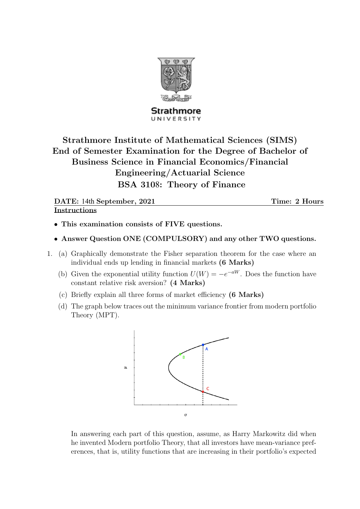

Strathmore UNIVERSITY

Strathmore Institute of Mathematical Sciences (SIMS) End of Semester Examination for the Degree of Bachelor of Business Science in Financial Economics/Financial Engineering/Actuarial Science BSA 3108: Theory of Finance

DATE: 14th September, 2021 Time: 2 Hours Instructions

- This examination consists of FIVE questions.
- Answer Question ONE (COMPULSORY) and any other TWO questions.
- 1. (a) Graphically demonstrate the Fisher separation theorem for the case where an individual ends up lending in financial markets (6 Marks)
	- (b) Given the exponential utility function  $U(W) = -e^{-aW}$ . Does the function have constant relative risk aversion? (4 Marks)
	- (c) Briefly explain all three forms of market efficiency (6 Marks)
	- (d) The graph below traces out the minimum variance frontier from modern portfolio Theory (MPT).



In answering each part of this question, assume, as Harry Markowitz did when he invented Modern portfolio Theory, that all investors have mean-variance preferences, that is, utility functions that are increasing in their portfolio's expected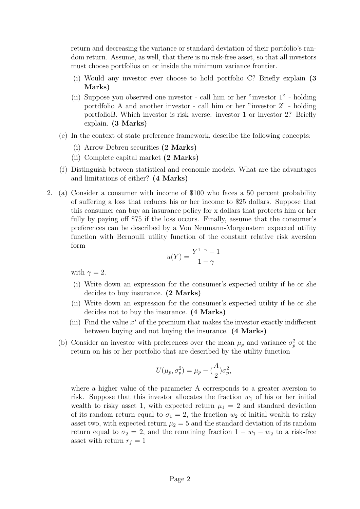return and decreasing the variance or standard deviation of their portfolio's random return. Assume, as well, that there is no risk-free asset, so that all investors must choose portfolios on or inside the minimum variance frontier.

- (i) Would any investor ever choose to hold portfolio C? Briefly explain (3 Marks)
- (ii) Suppose you observed one investor call him or her "investor 1" holding portdfolio A and another investor - call him or her "investor 2" - holding portfolioB. Which investor is risk averse: investor 1 or investor 2? Briefly explain. (3 Marks)
- (e) In the context of state preference framework, describe the following concepts:
	- (i) Arrow-Debreu securities (2 Marks)
	- (ii) Complete capital market (2 Marks)
- (f) Distinguish between statistical and economic models. What are the advantages and limitations of either? (4 Marks)
- 2. (a) Consider a consumer with income of \$100 who faces a 50 percent probability of suffering a loss that reduces his or her income to \$25 dollars. Suppose that this consumer can buy an insurance policy for x dollars that protects him or her fully by paying off \$75 if the loss occurs. Finally, assume that the consumer's preferences can be described by a Von Neumann-Morgenstern expected utility function with Bernoulli utility function of the constant relative risk aversion form

$$
u(Y) = \frac{Y^{1-\gamma} - 1}{1 - \gamma}
$$

with  $\gamma = 2$ .

- (i) Write down an expression for the consumer's expected utility if he or she decides to buy insurance. (2 Marks)
- (ii) Write down an expression for the consumer's expected utility if he or she decides not to buy the insurance. (4 Marks)
- (iii) Find the value  $x^*$  of the premium that makes the investor exactly indifferent between buying and not buying the insurance. (4 Marks)
- (b) Consider an investor with preferences over the mean  $\mu_p$  and variance  $\sigma_p^2$  of the return on his or her portfolio that are described by the utility function

$$
U(\mu_p, \sigma_p^2) = \mu_p - \left(\frac{A}{2}\right)\sigma_p^2,
$$

where a higher value of the parameter A corresponds to a greater aversion to risk. Suppose that this investor allocates the fraction  $w_1$  of his or her initial wealth to risky asset 1, with expected return  $\mu_1 = 2$  and standard deviation of its random return equal to  $\sigma_1 = 2$ , the fraction  $w_2$  of initial wealth to risky asset two, with expected return  $\mu_2 = 5$  and the standard deviation of its random return equal to  $\sigma_2 = 2$ , and the remaining fraction  $1 - w_1 - w_2$  to a risk-free asset with return  $r_f = 1$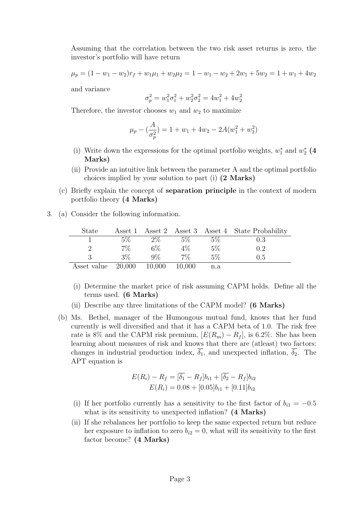Assuming that the correlation between the two risk asset returns is zero, the investor's portfolio will have return

$$
\mu_p = (1 - w_1 - w_2)r_f + w_1\mu_1 + w_2\mu_2 = 1 - w_1 - w_2 + 2w_1 + 5w_2 = 1 + w_1 + 4w_2
$$

and variance

$$
\sigma_p^2 = w_1^2 \sigma_1^2 + w_2^2 \sigma_2^2 = 4 w_1^2 + 4 w_2^2
$$

Therefore, the investor chooses  $w_1$  and  $w_2$  to maximize

$$
\mu_p - \left(\frac{A}{\sigma_p^2}\right) = 1 + w_1 + 4w_2 - 2A(w_1^2 + w_2^2)
$$

- (i) Write down the expressions for the optimal portfolio weights,  $w_1^*$  and  $w_2^*$  (4 Marks)
- (ii) Provide an intuitive link between the parameter A and the optimal portfolio choices implied by your solution to part (i) (2 Marks)
- (c) Briefly explain the concept of separation principle in the context of modern portfolio theory (4 Marks)
- 3. (a) Consider the following information.

| <b>State</b> | Asset 1 |        |        |       | Asset 2 Asset 3 Asset 4 State Probability |
|--------------|---------|--------|--------|-------|-------------------------------------------|
|              | $5\%$   | $2\%$  | 5%     | $5\%$ | 0.3                                       |
|              | $7\%$   | $6\%$  | $4\%$  | $5\%$ | 0.2                                       |
|              | 3%      | $9\%$  | 7%     | 5%    | 0.5                                       |
| Asset value  | 20,000  | 10,000 | 10,000 | n.a   |                                           |

- (i) Determine the market price of risk assuming CAPM holds. Define all the terms used. (6 Marks)
- (ii) Describe any three limitations of the CAPM model? (6 Marks)
- (b) Ms. Bethel, manager of the Humongous mutual fund, knows that her fund currently is well diversified and that it has a CAPM beta of 1.0. The risk free rate is 8% and the CAPM risk premium,  $[E(R_m) - R_f]$ , is 6.2%. She has been learning about measures of risk and knows that there are (atleast) two factors: changes in industrial production index,  $\overline{\delta_1}$ , and unexpected inflation,  $\overline{\delta_2}$ . The APT equation is

$$
E(R_i) - R_f = [\overline{\delta_1} - R_f]b_{i1} + [\overline{\delta_2} - R_f]b_{i2}
$$

$$
E(R_i) = 0.08 + [0.05]b_{i1} + [0.11]b_{i2}
$$

- (i) If her portfolio currently has a sensitivity to the first factor of  $b_{i1} = -0.5$ what is its sensitivity to unexpected inflation? (4 Marks)
- (ii) If she rebalances her portfolio to keep the same expected return but reduce her exposure to inflation to zero  $b_{i2} = 0$ , what will its sensitivity to the first factor become? (4 Marks)